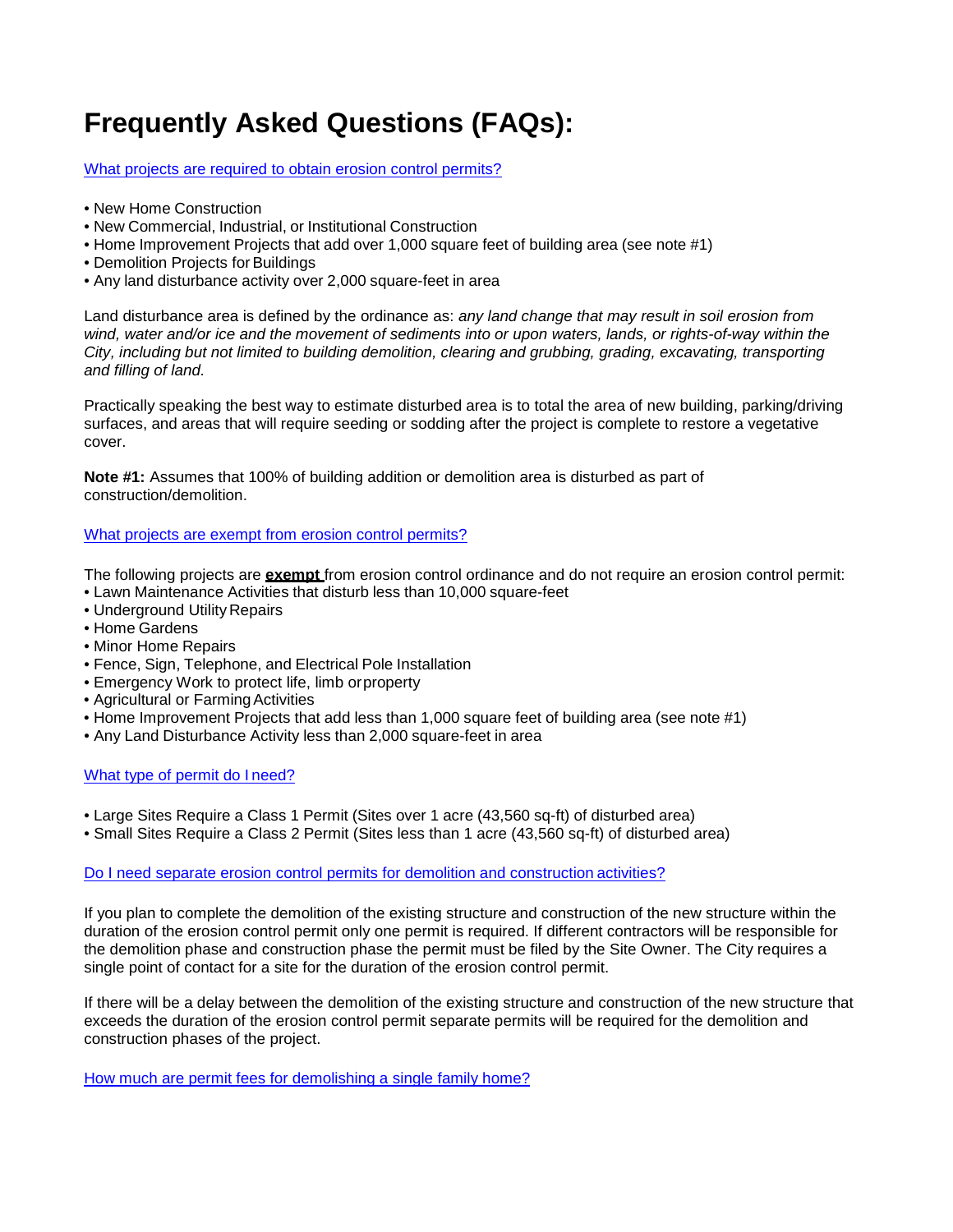## **Frequently Asked Questions (FAQs):**

What projects are required to obtain erosion control permits?

- New Home Construction
- New Commercial, Industrial, or Institutional Construction
- Home Improvement Projects that add over 1,000 square feet of building area (see note #1)
- Demolition Projects for Buildings
- Any land disturbance activity over 2,000 square-feet in area

Land disturbance area is defined by the ordinance as: *any land change that may result in soil erosion from wind, water and/or ice and the movement of sediments into or upon waters, lands, or rights-of-way within the City, including but not limited to building demolition, clearing and grubbing, grading, excavating, transporting and filling of land.*

Practically speaking the best way to estimate disturbed area is to total the area of new building, parking/driving surfaces, and areas that will require seeding or sodding after the project is complete to restore a vegetative cover.

**Note #1:** Assumes that 100% of building addition or demolition area is disturbed as part of construction/demolition.

What projects are exempt from erosion control permits?

The following projects are **exempt** from erosion control ordinance and do not require an erosion control permit:

- Lawn Maintenance Activities that disturb less than 10,000 square-feet
- Underground Utility Repairs
- Home Gardens
- Minor Home Repairs
- Fence, Sign, Telephone, and Electrical Pole Installation
- Emergency Work to protect life, limb orproperty
- Agricultural or Farming Activities
- Home Improvement Projects that add less than 1,000 square feet of building area (see note #1)
- Any Land Disturbance Activity less than 2,000 square-feet in area

## What type of permit do I need?

- Large Sites Require a Class 1 Permit (Sites over 1 acre (43,560 sq-ft) of disturbed area)
- Small Sites Require a Class 2 Permit (Sites less than 1 acre (43,560 sq-ft) of disturbed area)

## Do I need separate erosion control permits for demolition and construction activities?

If you plan to complete the demolition of the existing structure and construction of the new structure within the duration of the erosion control permit only one permit is required. If different contractors will be responsible for the demolition phase and construction phase the permit must be filed by the Site Owner. The City requires a single point of contact for a site for the duration of the erosion control permit.

If there will be a delay between the demolition of the existing structure and construction of the new structure that exceeds the duration of the erosion control permit separate permits will be required for the demolition and construction phases of the project.

How much are permit fees for demolishing a single family home?